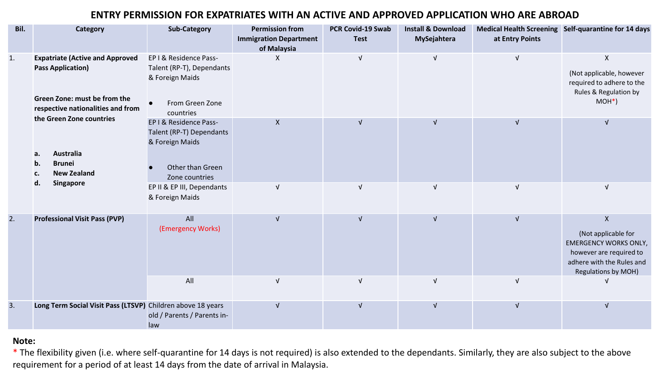## **ENTRY PERMISSION FOR EXPATRIATES WITH AN ACTIVE AND APPROVED APPLICATION WHO ARE ABROAD**

| Bil. | <b>Category</b>                                                                                                                         | <b>Sub-Category</b>                                                                                         | <b>Permission from</b><br><b>Immigration Department</b><br>of Malaysia | <b>PCR Covid-19 Swab</b><br><b>Test</b> | <b>Install &amp; Download</b><br>MySejahtera | at Entry Points           | Medical Health Screening Self-quarantine for 14 days                                                                                                                   |
|------|-----------------------------------------------------------------------------------------------------------------------------------------|-------------------------------------------------------------------------------------------------------------|------------------------------------------------------------------------|-----------------------------------------|----------------------------------------------|---------------------------|------------------------------------------------------------------------------------------------------------------------------------------------------------------------|
| 1.   | <b>Expatriate (Active and Approved</b><br><b>Pass Application)</b><br>Green Zone: must be from the<br>respective nationalities and from | EP I & Residence Pass-<br>Talent (RP-T), Dependants<br>& Foreign Maids<br>From Green Zone<br>countries      | X                                                                      | V                                       | $\sqrt{ }$                                   | $\sqrt{ }$                | $\pmb{\times}$<br>(Not applicable, however<br>required to adhere to the<br>Rules & Regulation by<br>$MOH*$ )                                                           |
|      | the Green Zone countries<br><b>Australia</b><br>a.<br><b>Brunei</b><br>b.<br><b>New Zealand</b><br>c.<br>Singapore<br>d.                | EP I & Residence Pass-<br>Talent (RP-T) Dependants<br>& Foreign Maids<br>Other than Green<br>Zone countries | $\pmb{\mathsf{X}}$                                                     | V                                       | $\sqrt{ }$                                   | $\sqrt{ }$                | $\sqrt{ }$                                                                                                                                                             |
|      |                                                                                                                                         | EP II & EP III, Dependants<br>& Foreign Maids                                                               | $\sqrt{ }$                                                             | $\sqrt{ }$                              | $\sqrt{ }$                                   | $\ensuremath{\mathsf{V}}$ | $\ensuremath{\mathsf{V}}$                                                                                                                                              |
| 2.   | <b>Professional Visit Pass (PVP)</b>                                                                                                    | All<br>(Emergency Works)                                                                                    | $\sqrt{ }$                                                             | $\sqrt{ }$                              | $\sqrt{ }$                                   | $\sqrt{ }$                | $\boldsymbol{\mathsf{X}}$<br>(Not applicable for<br><b>EMERGENCY WORKS ONLY,</b><br>however are required to<br>adhere with the Rules and<br><b>Regulations by MOH)</b> |
|      |                                                                                                                                         | All                                                                                                         | $\sqrt{ }$                                                             | $\sqrt{ }$                              | $\sqrt{ }$                                   | $\sqrt{ }$                |                                                                                                                                                                        |
| 3.   | Long Term Social Visit Pass (LTSVP) Children above 18 years                                                                             | old / Parents / Parents in-<br>law                                                                          | $\sqrt{ }$                                                             | $\mathsf{V}$                            | $\sqrt{ }$                                   | $\ensuremath{\mathsf{V}}$ | $\ensuremath{\mathsf{V}}$                                                                                                                                              |

## **Note:**

\* The flexibility given (i.e. where self-quarantine for 14 days is not required) is also extended to the dependants. Similarly, they are also subject to the above requirement for a period of at least 14 days from the date of arrival in Malaysia.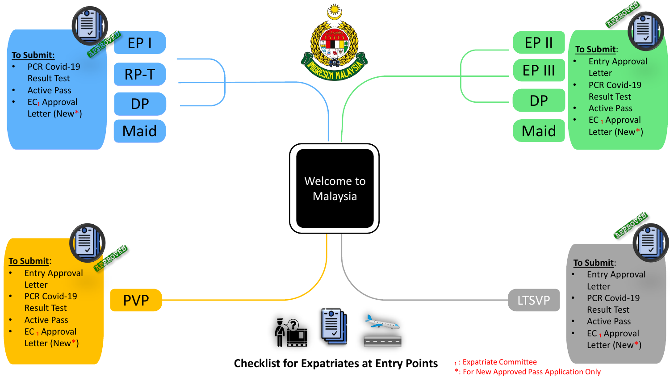